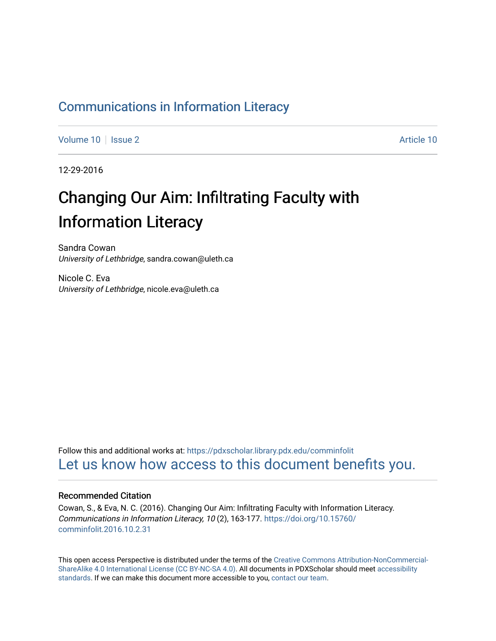# [Communications in Information Literacy](https://pdxscholar.library.pdx.edu/comminfolit)

[Volume 10](https://pdxscholar.library.pdx.edu/comminfolit/vol10) | [Issue 2](https://pdxscholar.library.pdx.edu/comminfolit/vol10/iss2) [Article 10](https://pdxscholar.library.pdx.edu/comminfolit/vol10/iss2/10) | Issue 2 Article 10 | Issue 2 Article 10 | Issue 2 Article 10 | Issue 2 Article 10 | Issue 2 | Issue 2 | Issue 2 | Issue 2 | Issue 2 | Issue 2 | Issue 2 | Issue 2 | Issue 2 | Issue 2 | Issue

12-29-2016

# Changing Our Aim: Infiltrating Faculty with Information Literacy

Sandra Cowan University of Lethbridge, sandra.cowan@uleth.ca

Nicole C. Eva University of Lethbridge, nicole.eva@uleth.ca

Follow this and additional works at: [https://pdxscholar.library.pdx.edu/comminfolit](https://pdxscholar.library.pdx.edu/comminfolit?utm_source=pdxscholar.library.pdx.edu%2Fcomminfolit%2Fvol10%2Fiss2%2F10&utm_medium=PDF&utm_campaign=PDFCoverPages)  [Let us know how access to this document benefits you.](http://library.pdx.edu/services/pdxscholar-services/pdxscholar-feedback/) 

#### Recommended Citation

Cowan, S., & Eva, N. C. (2016). Changing Our Aim: Infiltrating Faculty with Information Literacy. Communications in Information Literacy, 10 (2), 163-177. [https://doi.org/10.15760/](https://doi.org/10.15760/comminfolit.2016.10.2.31) [comminfolit.2016.10.2.31](https://doi.org/10.15760/comminfolit.2016.10.2.31) 

This open access Perspective is distributed under the terms of the [Creative Commons Attribution-NonCommercial-](https://creativecommons.org/licenses/by-nc-sa/4.0/)[ShareAlike 4.0 International License \(CC BY-NC-SA 4.0\).](https://creativecommons.org/licenses/by-nc-sa/4.0/) All documents in PDXScholar should meet [accessibility](https://pdxscholar.library.pdx.edu/accessibility.html) [standards](https://pdxscholar.library.pdx.edu/accessibility.html). If we can make this document more accessible to you, [contact our team.](mailto:pdxscholar@pdx.edu)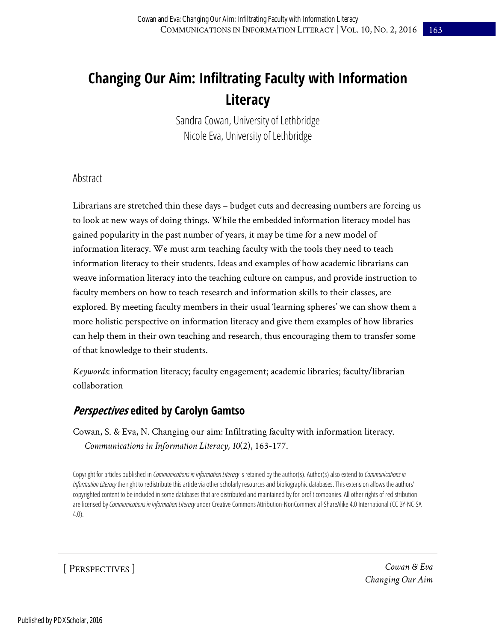# **Changing Our Aim: Infiltrating Faculty with Information Literacy**

Sandra Cowan, University of Lethbridge Nicole Eva, University of Lethbridge

#### Abstract

Librarians are stretched thin these days – budget cuts and decreasing numbers are forcing us to look at new ways of doing things. While the embedded information literacy model has gained popularity in the past number of years, it may be time for a new model of information literacy. We must arm teaching faculty with the tools they need to teach information literacy to their students. Ideas and examples of how academic librarians can weave information literacy into the teaching culture on campus, and provide instruction to faculty members on how to teach research and information skills to their classes, are explored. By meeting faculty members in their usual 'learning spheres' we can show them a more holistic perspective on information literacy and give them examples of how libraries can help them in their own teaching and research, thus encouraging them to transfer some of that knowledge to their students.

*Keywords*: information literacy; faculty engagement; academic libraries; faculty/librarian collaboration

# **Perspectives edited by Carolyn Gamtso**

Cowan, S. & Eva, N. Changing our aim: Infiltrating faculty with information literacy. *Communications in Information Literacy, 10*(2), 163-177.

Copyright for articles published in *Communications in Information Literacy* is retained by the author(s). Author(s) also extend to *Communications in Information Literacy* the right to redistribute this article via other scholarly resources and bibliographic databases. This extension allows the authors' copyrighted content to be included in some databases that are distributed and maintained by for-profit companies. All other rights of redistribution are licensed by *Communications in Information Literacy* under Creative Commons Attribution-NonCommercial-ShareAlike 4.0 International (CC BY-NC-SA 4.0).

[ PERSPECTIVES ]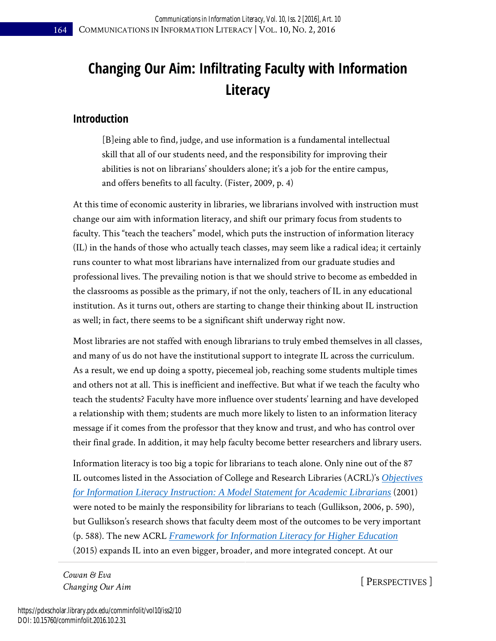# **Changing Our Aim: Infiltrating Faculty with Information Literacy**

### **Introduction**

[B]eing able to find, judge, and use information is a fundamental intellectual skill that all of our students need, and the responsibility for improving their abilities is not on librarians' shoulders alone; it's a job for the entire campus, and offers benefits to all faculty. (Fister, 2009, p. 4)

At this time of economic austerity in libraries, we librarians involved with instruction must change our aim with information literacy, and shift our primary focus from students to faculty. This "teach the teachers" model, which puts the instruction of information literacy (IL) in the hands of those who actually teach classes, may seem like a radical idea; it certainly runs counter to what most librarians have internalized from our graduate studies and professional lives. The prevailing notion is that we should strive to become as embedded in the classrooms as possible as the primary, if not the only, teachers of IL in any educational institution. As it turns out, others are starting to change their thinking about IL instruction as well; in fact, there seems to be a significant shift underway right now.

Most libraries are not staffed with enough librarians to truly embed themselves in all classes, and many of us do not have the institutional support to integrate IL across the curriculum. As a result, we end up doing a spotty, piecemeal job, reaching some students multiple times and others not at all. This is inefficient and ineffective. But what if we teach the faculty who teach the students? Faculty have more influence over students' learning and have developed a relationship with them; students are much more likely to listen to an information literacy message if it comes from the professor that they know and trust, and who has control over their final grade. In addition, it may help faculty become better researchers and library users.

Information literacy is too big a topic for librarians to teach alone. Only nine out of the 87 IL outcomes listed in the Association of College and Research Libraries (ACRL)'s *[Objectives](http://www.ala.org/acrl/standards/objectivesinformation)  [for Information Literacy Instruction: A Model Statement for Academic Librarians](http://www.ala.org/acrl/standards/objectivesinformation)* (2001) were noted to be mainly the responsibility for librarians to teach (Gullikson, 2006, p. 590), but Gullikson's research shows that faculty deem most of the outcomes to be very important (p. 588). The new ACRL *[Framework for Information Literacy for Higher Education](http://www.ala.org/acrl/standards/ilframework)* (2015) expands IL into an even bigger, broader, and more integrated concept. At our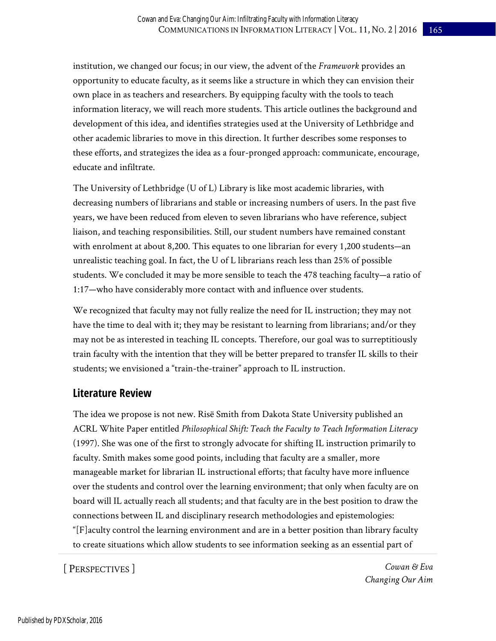institution, we changed our focus; in our view, the advent of the *Framework* provides an opportunity to educate faculty, as it seems like a structure in which they can envision their own place in as teachers and researchers. By equipping faculty with the tools to teach information literacy, we will reach more students. This article outlines the background and development of this idea, and identifies strategies used at the University of Lethbridge and other academic libraries to move in this direction. It further describes some responses to these efforts, and strategizes the idea as a four-pronged approach: communicate, encourage, educate and infiltrate.

The University of Lethbridge (U of L) Library is like most academic libraries, with decreasing numbers of librarians and stable or increasing numbers of users. In the past five years, we have been reduced from eleven to seven librarians who have reference, subject liaison, and teaching responsibilities. Still, our student numbers have remained constant with enrolment at about 8,200. This equates to one librarian for every 1,200 students—an unrealistic teaching goal. In fact, the U of L librarians reach less than 25% of possible students. We concluded it may be more sensible to teach the 478 teaching faculty—a ratio of 1:17—who have considerably more contact with and influence over students.

We recognized that faculty may not fully realize the need for IL instruction; they may not have the time to deal with it; they may be resistant to learning from librarians; and/or they may not be as interested in teaching IL concepts. Therefore, our goal was to surreptitiously train faculty with the intention that they will be better prepared to transfer IL skills to their students; we envisioned a "train-the-trainer" approach to IL instruction.

# **Literature Review**

The idea we propose is not new. Risë Smith from Dakota State University published an ACRL White Paper entitled *Philosophical Shift: Teach the Faculty to Teach Information Literacy* (1997). She was one of the first to strongly advocate for shifting IL instruction primarily to faculty. Smith makes some good points, including that faculty are a smaller, more manageable market for librarian IL instructional efforts; that faculty have more influence over the students and control over the learning environment; that only when faculty are on board will IL actually reach all students; and that faculty are in the best position to draw the connections between IL and disciplinary research methodologies and epistemologies: "[F]aculty control the learning environment and are in a better position than library faculty to create situations which allow students to see information seeking as an essential part of

[ PERSPECTIVES ]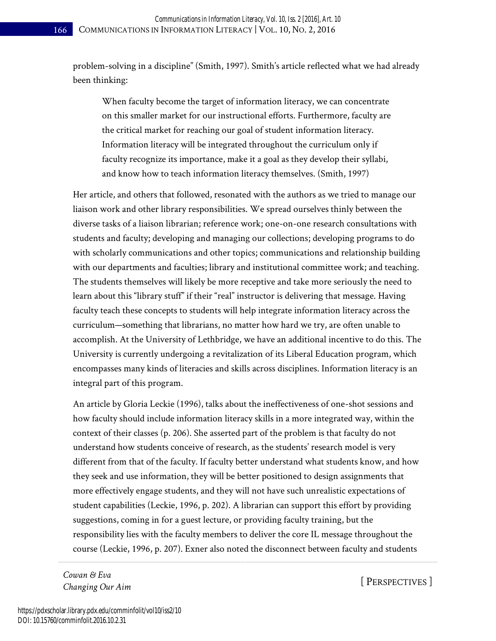problem-solving in a discipline" (Smith, 1997). Smith's article reflected what we had already been thinking:

When faculty become the target of information literacy, we can concentrate on this smaller market for our instructional efforts. Furthermore, faculty are the critical market for reaching our goal of student information literacy. Information literacy will be integrated throughout the curriculum only if faculty recognize its importance, make it a goal as they develop their syllabi, and know how to teach information literacy themselves. (Smith, 1997)

Her article, and others that followed, resonated with the authors as we tried to manage our liaison work and other library responsibilities. We spread ourselves thinly between the diverse tasks of a liaison librarian; reference work; one-on-one research consultations with students and faculty; developing and managing our collections; developing programs to do with scholarly communications and other topics; communications and relationship building with our departments and faculties; library and institutional committee work; and teaching. The students themselves will likely be more receptive and take more seriously the need to learn about this "library stuff" if their "real" instructor is delivering that message. Having faculty teach these concepts to students will help integrate information literacy across the curriculum—something that librarians, no matter how hard we try, are often unable to accomplish. At the University of Lethbridge, we have an additional incentive to do this. The University is currently undergoing a revitalization of its Liberal Education program, which encompasses many kinds of literacies and skills across disciplines. Information literacy is an integral part of this program.

An article by Gloria Leckie (1996), talks about the ineffectiveness of one-shot sessions and how faculty should include information literacy skills in a more integrated way, within the context of their classes (p. 206). She asserted part of the problem is that faculty do not understand how students conceive of research, as the students' research model is very different from that of the faculty. If faculty better understand what students know, and how they seek and use information, they will be better positioned to design assignments that more effectively engage students, and they will not have such unrealistic expectations of student capabilities (Leckie, 1996, p. 202). A librarian can support this effort by providing suggestions, coming in for a guest lecture, or providing faculty training, but the responsibility lies with the faculty members to deliver the core IL message throughout the course (Leckie, 1996, p. 207). Exner also noted the disconnect between faculty and students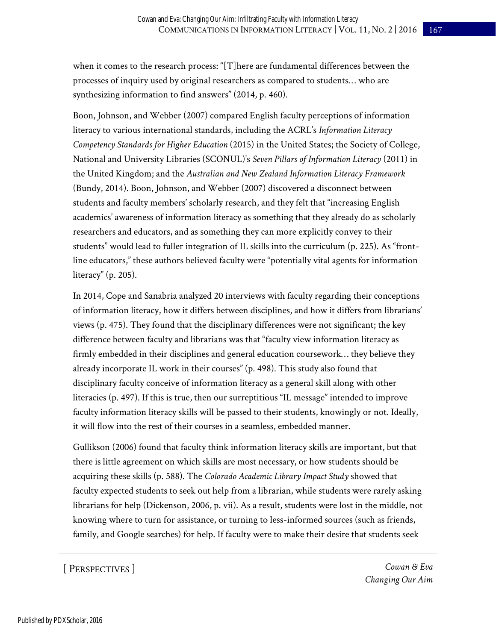when it comes to the research process: "[T]here are fundamental differences between the processes of inquiry used by original researchers as compared to students… who are synthesizing information to find answers" (2014, p. 460).

Boon, Johnson, and Webber (2007) compared English faculty perceptions of information literacy to various international standards, including the ACRL's *Information Literacy Competency Standards for Higher Education* (2015) in the United States; the Society of College, National and University Libraries (SCONUL)'s *Seven Pillars of Information Literacy* (2011) in the United Kingdom; and the *Australian and New Zealand Information Literacy Framework*  (Bundy, 2014). Boon, Johnson, and Webber (2007) discovered a disconnect between students and faculty members' scholarly research, and they felt that "increasing English academics' awareness of information literacy as something that they already do as scholarly researchers and educators, and as something they can more explicitly convey to their students" would lead to fuller integration of IL skills into the curriculum (p. 225). As "frontline educators," these authors believed faculty were "potentially vital agents for information literacy" (p. 205).

In 2014, Cope and Sanabria analyzed 20 interviews with faculty regarding their conceptions of information literacy, how it differs between disciplines, and how it differs from librarians' views (p. 475). They found that the disciplinary differences were not significant; the key difference between faculty and librarians was that "faculty view information literacy as firmly embedded in their disciplines and general education coursework… they believe they already incorporate IL work in their courses" (p. 498). This study also found that disciplinary faculty conceive of information literacy as a general skill along with other literacies (p. 497). If this is true, then our surreptitious "IL message" intended to improve faculty information literacy skills will be passed to their students, knowingly or not. Ideally, it will flow into the rest of their courses in a seamless, embedded manner.

Gullikson (2006) found that faculty think information literacy skills are important, but that there is little agreement on which skills are most necessary, or how students should be acquiring these skills (p. 588). The *Colorado Academic Library Impact Study* showed that faculty expected students to seek out help from a librarian, while students were rarely asking librarians for help (Dickenson, 2006, p. vii). As a result, students were lost in the middle, not knowing where to turn for assistance, or turning to less-informed sources (such as friends, family, and Google searches) for help. If faculty were to make their desire that students seek

[ PERSPECTIVES ]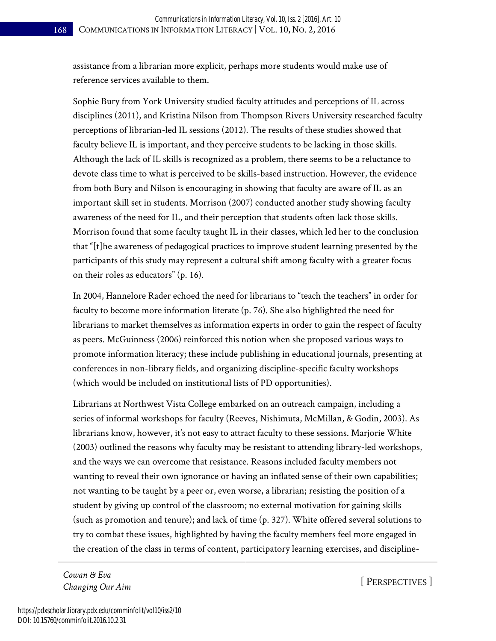assistance from a librarian more explicit, perhaps more students would make use of reference services available to them.

Sophie Bury from York University studied faculty attitudes and perceptions of IL across disciplines (2011), and Kristina Nilson from Thompson Rivers University researched faculty perceptions of librarian-led IL sessions (2012). The results of these studies showed that faculty believe IL is important, and they perceive students to be lacking in those skills. Although the lack of IL skills is recognized as a problem, there seems to be a reluctance to devote class time to what is perceived to be skills-based instruction. However, the evidence from both Bury and Nilson is encouraging in showing that faculty are aware of IL as an important skill set in students. Morrison (2007) conducted another study showing faculty awareness of the need for IL, and their perception that students often lack those skills. Morrison found that some faculty taught IL in their classes, which led her to the conclusion that "[t]he awareness of pedagogical practices to improve student learning presented by the participants of this study may represent a cultural shift among faculty with a greater focus on their roles as educators" (p. 16).

In 2004, Hannelore Rader echoed the need for librarians to "teach the teachers" in order for faculty to become more information literate (p. 76). She also highlighted the need for librarians to market themselves as information experts in order to gain the respect of faculty as peers. McGuinness (2006) reinforced this notion when she proposed various ways to promote information literacy; these include publishing in educational journals, presenting at conferences in non-library fields, and organizing discipline-specific faculty workshops (which would be included on institutional lists of PD opportunities).

Librarians at Northwest Vista College embarked on an outreach campaign, including a series of informal workshops for faculty (Reeves, Nishimuta, McMillan, & Godin, 2003). As librarians know, however, it's not easy to attract faculty to these sessions. Marjorie White (2003) outlined the reasons why faculty may be resistant to attending library-led workshops, and the ways we can overcome that resistance. Reasons included faculty members not wanting to reveal their own ignorance or having an inflated sense of their own capabilities; not wanting to be taught by a peer or, even worse, a librarian; resisting the position of a student by giving up control of the classroom; no external motivation for gaining skills (such as promotion and tenure); and lack of time (p. 327). White offered several solutions to try to combat these issues, highlighted by having the faculty members feel more engaged in the creation of the class in terms of content, participatory learning exercises, and discipline-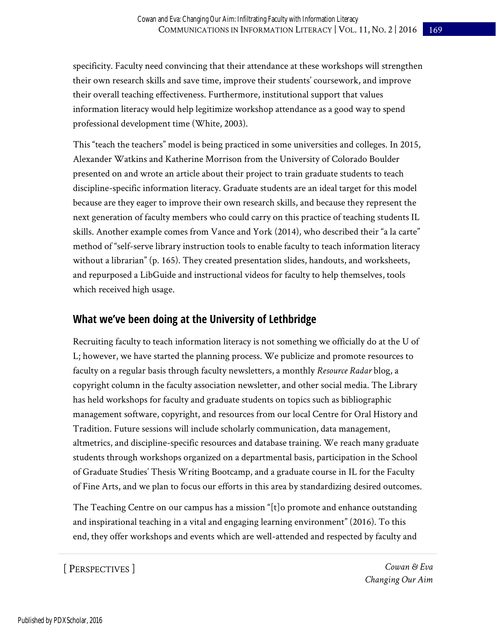specificity. Faculty need convincing that their attendance at these workshops will strengthen their own research skills and save time, improve their students' coursework, and improve their overall teaching effectiveness. Furthermore, institutional support that values information literacy would help legitimize workshop attendance as a good way to spend professional development time (White, 2003).

This "teach the teachers" model is being practiced in some universities and colleges. In 2015, Alexander Watkins and Katherine Morrison from the University of Colorado Boulder presented on and wrote an article about their project to train graduate students to teach discipline-specific information literacy. Graduate students are an ideal target for this model because are they eager to improve their own research skills, and because they represent the next generation of faculty members who could carry on this practice of teaching students IL skills. Another example comes from Vance and York (2014), who described their "a la carte" method of "self-serve library instruction tools to enable faculty to teach information literacy without a librarian" (p. 165). They created presentation slides, handouts, and worksheets, and repurposed a LibGuide and instructional videos for faculty to help themselves, tools which received high usage.

### **What we've been doing at the University of Lethbridge**

Recruiting faculty to teach information literacy is not something we officially do at the U of L; however, we have started the planning process. We publicize and promote resources to faculty on a regular basis through faculty newsletters, a monthly *Resource Radar* blog, a copyright column in the faculty association newsletter, and other social media. The Library has held workshops for faculty and graduate students on topics such as bibliographic management software, copyright, and resources from our local Centre for Oral History and Tradition. Future sessions will include scholarly communication, data management, altmetrics, and discipline-specific resources and database training. We reach many graduate students through workshops organized on a departmental basis, participation in the School of Graduate Studies' Thesis Writing Bootcamp, and a graduate course in IL for the Faculty of Fine Arts, and we plan to focus our efforts in this area by standardizing desired outcomes.

The Teaching Centre on our campus has a mission "[t]o promote and enhance outstanding and inspirational teaching in a vital and engaging learning environment" (2016). To this end, they offer workshops and events which are well-attended and respected by faculty and

[ PERSPECTIVES ]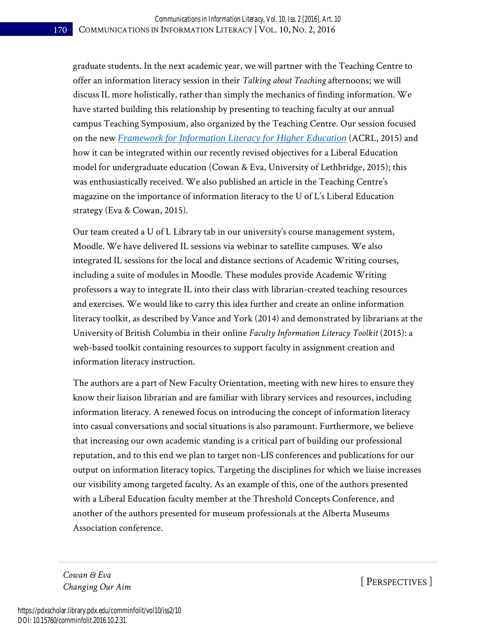graduate students. In the next academic year, we will partner with the Teaching Centre to offer an information literacy session in their *Talking about Teaching* afternoons; we will discuss IL more holistically, rather than simply the mechanics of finding information. We have started building this relationship by presenting to teaching faculty at our annual campus Teaching Symposium, also organized by the Teaching Centre. Our session focused on the new *[Framework for Information Literacy for Higher Education](http://www.ala.org/acrl/standards/ilframework)* (ACRL, 2015) and how it can be integrated within our recently revised objectives for a Liberal Education model for undergraduate education (Cowan & Eva, University of Lethbridge, 2015); this was enthusiastically received. We also published an article in the Teaching Centre's magazine on the importance of information literacy to the U of L's Liberal Education strategy (Eva & Cowan, 2015).

Our team created a U of L Library tab in our university's course management system, Moodle. We have delivered IL sessions via webinar to satellite campuses. We also integrated IL sessions for the local and distance sections of Academic Writing courses, including a suite of modules in Moodle. These modules provide Academic Writing professors a way to integrate IL into their class with librarian-created teaching resources and exercises. We would like to carry this idea further and create an online information literacy toolkit, as described by Vance and York (2014) and demonstrated by librarians at the University of British Columbia in their online *Faculty Information Literacy Toolkit* (2015): a web-based toolkit containing resources to support faculty in assignment creation and information literacy instruction.

The authors are a part of New Faculty Orientation, meeting with new hires to ensure they know their liaison librarian and are familiar with library services and resources, including information literacy. A renewed focus on introducing the concept of information literacy into casual conversations and social situations is also paramount. Furthermore, we believe that increasing our own academic standing is a critical part of building our professional reputation, and to this end we plan to target non-LIS conferences and publications for our output on information literacy topics. Targeting the disciplines for which we liaise increases our visibility among targeted faculty. As an example of this, one of the authors presented with a Liberal Education faculty member at the Threshold Concepts Conference, and another of the authors presented for museum professionals at the Alberta Museums Association conference.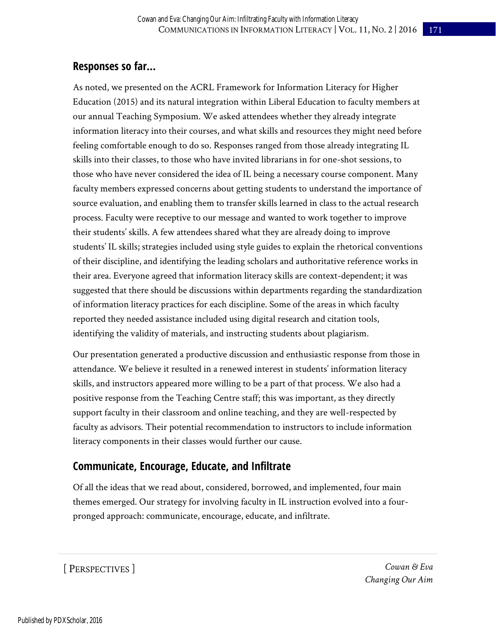# **Responses so far…**

As noted, we presented on the ACRL Framework for Information Literacy for Higher Education (2015) and its natural integration within Liberal Education to faculty members at our annual Teaching Symposium. We asked attendees whether they already integrate information literacy into their courses, and what skills and resources they might need before feeling comfortable enough to do so. Responses ranged from those already integrating IL skills into their classes, to those who have invited librarians in for one-shot sessions, to those who have never considered the idea of IL being a necessary course component. Many faculty members expressed concerns about getting students to understand the importance of source evaluation, and enabling them to transfer skills learned in class to the actual research process. Faculty were receptive to our message and wanted to work together to improve their students' skills. A few attendees shared what they are already doing to improve students' IL skills; strategies included using style guides to explain the rhetorical conventions of their discipline, and identifying the leading scholars and authoritative reference works in their area. Everyone agreed that information literacy skills are context-dependent; it was suggested that there should be discussions within departments regarding the standardization of information literacy practices for each discipline. Some of the areas in which faculty reported they needed assistance included using digital research and citation tools, identifying the validity of materials, and instructing students about plagiarism.

Our presentation generated a productive discussion and enthusiastic response from those in attendance. We believe it resulted in a renewed interest in students' information literacy skills, and instructors appeared more willing to be a part of that process. We also had a positive response from the Teaching Centre staff; this was important, as they directly support faculty in their classroom and online teaching, and they are well-respected by faculty as advisors. Their potential recommendation to instructors to include information literacy components in their classes would further our cause.

# **Communicate, Encourage, Educate, and Infiltrate**

Of all the ideas that we read about, considered, borrowed, and implemented, four main themes emerged. Our strategy for involving faculty in IL instruction evolved into a fourpronged approach: communicate, encourage, educate, and infiltrate.

### [ PERSPECTIVES ]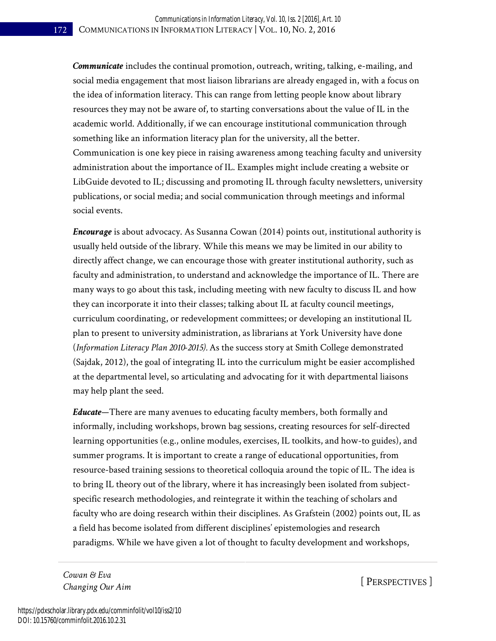*Communicate* includes the continual promotion, outreach, writing, talking, e-mailing, and social media engagement that most liaison librarians are already engaged in, with a focus on the idea of information literacy. This can range from letting people know about library resources they may not be aware of, to starting conversations about the value of IL in the academic world. Additionally, if we can encourage institutional communication through something like an information literacy plan for the university, all the better. Communication is one key piece in raising awareness among teaching faculty and university administration about the importance of IL. Examples might include creating a website or LibGuide devoted to IL; discussing and promoting IL through faculty newsletters, university publications, or social media; and social communication through meetings and informal social events.

*Encourage* is about advocacy. As Susanna Cowan (2014) points out, institutional authority is usually held outside of the library. While this means we may be limited in our ability to directly affect change, we can encourage those with greater institutional authority, such as faculty and administration, to understand and acknowledge the importance of IL. There are many ways to go about this task, including meeting with new faculty to discuss IL and how they can incorporate it into their classes; talking about IL at faculty council meetings, curriculum coordinating, or redevelopment committees; or developing an institutional IL plan to present to university administration, as librarians at York University have done (*Information Literacy Plan 2010-2015).* As the success story at Smith College demonstrated (Sajdak, 2012), the goal of integrating IL into the curriculum might be easier accomplished at the departmental level, so articulating and advocating for it with departmental liaisons may help plant the seed.

*Educate*—There are many avenues to educating faculty members, both formally and informally, including workshops, brown bag sessions, creating resources for self-directed learning opportunities (e.g., online modules, exercises, IL toolkits, and how-to guides), and summer programs. It is important to create a range of educational opportunities, from resource-based training sessions to theoretical colloquia around the topic of IL. The idea is to bring IL theory out of the library, where it has increasingly been isolated from subjectspecific research methodologies, and reintegrate it within the teaching of scholars and faculty who are doing research within their disciplines. As Grafstein (2002) points out, IL as a field has become isolated from different disciplines' epistemologies and research paradigms. While we have given a lot of thought to faculty development and workshops,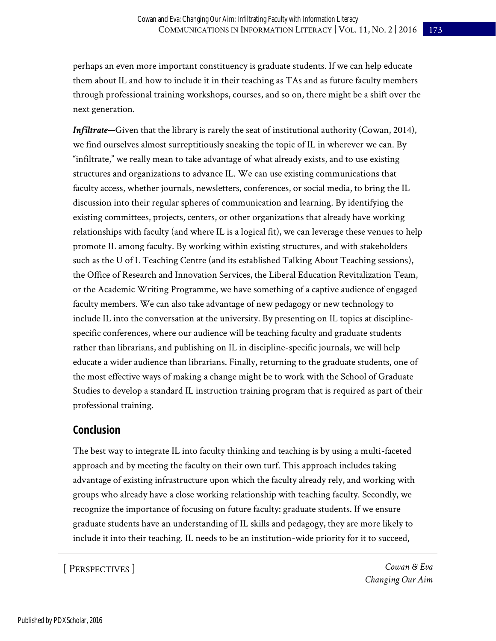perhaps an even more important constituency is graduate students. If we can help educate them about IL and how to include it in their teaching as TAs and as future faculty members through professional training workshops, courses, and so on, there might be a shift over the next generation.

*Infiltrate*—Given that the library is rarely the seat of institutional authority (Cowan, 2014), we find ourselves almost surreptitiously sneaking the topic of IL in wherever we can. By "infiltrate," we really mean to take advantage of what already exists, and to use existing structures and organizations to advance IL. We can use existing communications that faculty access, whether journals, newsletters, conferences, or social media, to bring the IL discussion into their regular spheres of communication and learning. By identifying the existing committees, projects, centers, or other organizations that already have working relationships with faculty (and where IL is a logical fit), we can leverage these venues to help promote IL among faculty. By working within existing structures, and with stakeholders such as the U of L Teaching Centre (and its established Talking About Teaching sessions), the Office of Research and Innovation Services, the Liberal Education Revitalization Team, or the Academic Writing Programme, we have something of a captive audience of engaged faculty members. We can also take advantage of new pedagogy or new technology to include IL into the conversation at the university. By presenting on IL topics at disciplinespecific conferences, where our audience will be teaching faculty and graduate students rather than librarians, and publishing on IL in discipline-specific journals, we will help educate a wider audience than librarians. Finally, returning to the graduate students, one of the most effective ways of making a change might be to work with the School of Graduate Studies to develop a standard IL instruction training program that is required as part of their professional training.

#### **Conclusion**

The best way to integrate IL into faculty thinking and teaching is by using a multi-faceted approach and by meeting the faculty on their own turf. This approach includes taking advantage of existing infrastructure upon which the faculty already rely, and working with groups who already have a close working relationship with teaching faculty. Secondly, we recognize the importance of focusing on future faculty: graduate students. If we ensure graduate students have an understanding of IL skills and pedagogy, they are more likely to include it into their teaching. IL needs to be an institution-wide priority for it to succeed,

[ PERSPECTIVES ]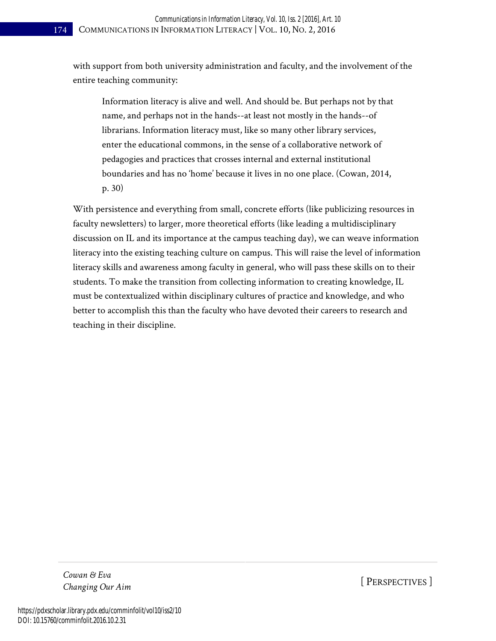with support from both university administration and faculty, and the involvement of the entire teaching community:

Information literacy is alive and well. And should be. But perhaps not by that name, and perhaps not in the hands--at least not mostly in the hands--of librarians. Information literacy must, like so many other library services, enter the educational commons, in the sense of a collaborative network of pedagogies and practices that crosses internal and external institutional boundaries and has no 'home' because it lives in no one place. (Cowan, 2014, p. 30)

With persistence and everything from small, concrete efforts (like publicizing resources in faculty newsletters) to larger, more theoretical efforts (like leading a multidisciplinary discussion on IL and its importance at the campus teaching day), we can weave information literacy into the existing teaching culture on campus. This will raise the level of information literacy skills and awareness among faculty in general, who will pass these skills on to their students. To make the transition from collecting information to creating knowledge, IL must be contextualized within disciplinary cultures of practice and knowledge, and who better to accomplish this than the faculty who have devoted their careers to research and teaching in their discipline.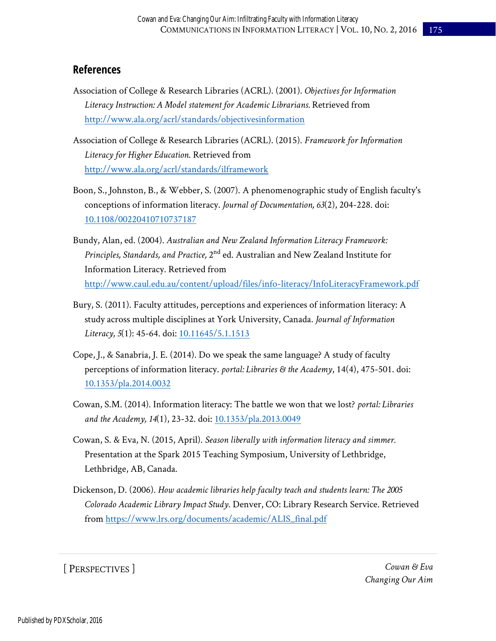#### **References**

- Association of College & Research Libraries (ACRL). (2001). *Objectives for Information Literacy Instruction: A Model statement for Academic Librarians.* Retrieved from <http://www.ala.org/acrl/standards/objectivesinformation>
- Association of College & Research Libraries (ACRL). (2015). *Framework for Information Literacy for Higher Education*. Retrieved from <http://www.ala.org/acrl/standards/ilframework>
- Boon, S., Johnston, B., & Webber, S. (2007). A phenomenographic study of English faculty's conceptions of information literacy. *Journal of Documentation, 63*(2), 204-228. doi: [10.1108/00220410710737187](dx.doi.org/10.1108/00220410710737187)
- Bundy, Alan, ed. (2004). *Australian and New Zealand Information Literacy Framework:*  Principles, Standards, and Practice, 2<sup>nd</sup> ed. Australian and New Zealand Institute for Information Literacy. Retrieved from <http://www.caul.edu.au/content/upload/files/info-literacy/InfoLiteracyFramework.pdf>
- Bury, S. (2011). Faculty attitudes, perceptions and experiences of information literacy: A study across multiple disciplines at York University, Canada. *Journal of Information*  Literacy, 5(1): 45-64. doi: [10.11645/5.1.1513](dx.doi.org/10.11645/5.1.1513)
- Cope, J., & Sanabria, J. E. (2014). Do we speak the same language? A study of faculty perceptions of information literacy. *portal: Libraries & the Academy*, 14(4), 475-501. doi: [10.1353/pla.2014.0032](dx.doi.org/10.1353/pla.2014.0032)
- Cowan, S.M. (2014). Information literacy: The battle we won that we lost? *portal: Libraries and the Academy, 14*(1), 23-32. doi: [10.1353/pla.2013.0049](dx.doi.org/10.1353/pla.2013.0049)
- Cowan, S. & Eva, N. (2015, April). *Season liberally with information literacy and simmer.* Presentation at the Spark 2015 Teaching Symposium, University of Lethbridge, Lethbridge, AB, Canada.
- Dickenson, D. (2006). *How academic libraries help faculty teach and students learn: The 2005 Colorado Academic Library Impact Study*. Denver, CO: Library Research Service. Retrieved from [https://www.lrs.org/documents/academic/ALIS\\_final.pdf](https://www.lrs.org/documents/academic/ALIS_final.pdf)

[ PERSPECTIVES ]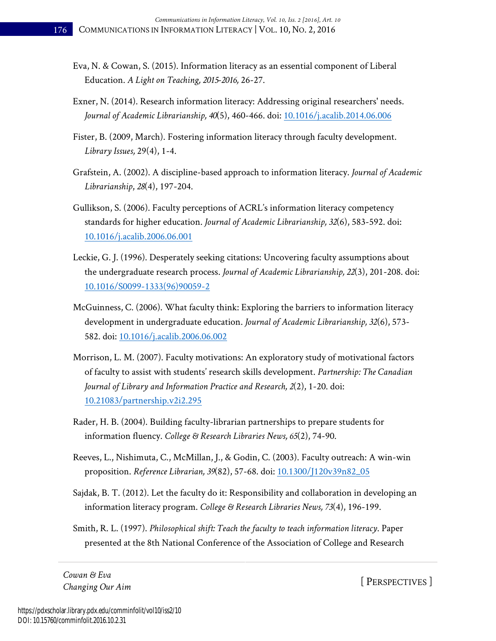- Eva, N. & Cowan, S. (2015). Information literacy as an essential component of Liberal Education. *A Light on Teaching, 2015-2016,* 26-27.
- Exner, N. (2014). Research information literacy: Addressing original researchers' needs. *Journal of Academic Librarianship, 40*(5), 460-466. doi: [10.1016/j.acalib.2014.06.006](dx.doi.org/10.1016/j.acalib.2014.06.006)
- Fister, B. (2009, March). Fostering information literacy through faculty development. *Library Issues,* 29(4), 1-4.
- Grafstein, A. (2002). A discipline-based approach to information literacy. *Journal of Academic Librarianship*, *28*(4), 197-204.
- Gullikson, S. (2006). Faculty perceptions of ACRL's information literacy competency standards for higher education. *Journal of Academic Librarianship, 32*(6), 583-592. doi: [10.1016/j.acalib.2006.06.001](dx.doi.org/10.1016/j.acalib.2006.06.001)
- Leckie, G. J. (1996). Desperately seeking citations: Uncovering faculty assumptions about the undergraduate research process. *Journal of Academic Librarianship, 22*(3), 201-208. doi: [10.1016/S0099-1333\(96\)90059-2](dx.doi.org/10.1016/S0099-1333(96)90059-2)
- McGuinness, C. (2006). What faculty think: Exploring the barriers to information literacy development in undergraduate education. *Journal of Academic Librarianship, 32*(6), 573- 582. doi: [10.1016/j.acalib.2006.06.002](dx.doi.org/10.1016/j.acalib.2006.06.002)
- Morrison, L. M. (2007). Faculty motivations: An exploratory study of motivational factors of faculty to assist with students' research skills development. *Partnership: The Canadian Journal of Library and Information Practice and Research, 2*(2), 1-20. doi: [10.21083/partnership.v2i2.295](dx.doi.org/10.21083/partnership.v2i2.295)
- Rader, H. B. (2004). Building faculty-librarian partnerships to prepare students for information fluency. *College & Research Libraries News, 65*(2), 74-90.
- Reeves, L., Nishimuta, C., McMillan, J., & Godin, C. (2003). Faculty outreach: A win-win proposition. *Reference Librarian, 39*(82), 57-68. doi: [10.1300/J120v39n82\\_05](dx.doi.org/10.1300/J120v39n82_05)
- Sajdak, B. T. (2012). Let the faculty do it: Responsibility and collaboration in developing an information literacy program. *College & Research Libraries News, 73*(4), 196-199.
- Smith, R. L. (1997). *Philosophical shift: Teach the faculty to teach information literacy*. Paper presented at the 8th National Conference of the Association of College and Research